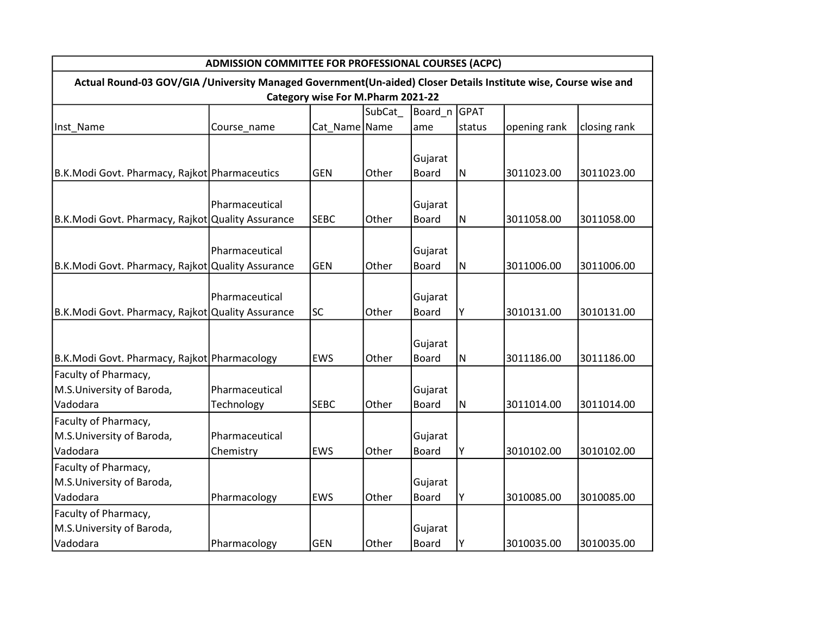| ADMISSION COMMITTEE FOR PROFESSIONAL COURSES (ACPC)                                                             |                |               |        |              |           |              |              |  |  |  |  |  |
|-----------------------------------------------------------------------------------------------------------------|----------------|---------------|--------|--------------|-----------|--------------|--------------|--|--|--|--|--|
| Actual Round-03 GOV/GIA /University Managed Government(Un-aided) Closer Details Institute wise, Course wise and |                |               |        |              |           |              |              |  |  |  |  |  |
| Category wise For M.Pharm 2021-22                                                                               |                |               |        |              |           |              |              |  |  |  |  |  |
|                                                                                                                 |                |               | SubCat | Board_n GPAT |           |              |              |  |  |  |  |  |
| Inst_Name                                                                                                       | Course_name    | Cat_Name Name |        | ame          | status    | opening rank | closing rank |  |  |  |  |  |
|                                                                                                                 |                |               |        |              |           |              |              |  |  |  |  |  |
|                                                                                                                 |                |               |        | Gujarat      |           |              |              |  |  |  |  |  |
| B.K.Modi Govt. Pharmacy, Rajkot Pharmaceutics                                                                   |                | <b>GEN</b>    | Other  | <b>Board</b> | ${\sf N}$ | 3011023.00   | 3011023.00   |  |  |  |  |  |
|                                                                                                                 |                |               |        |              |           |              |              |  |  |  |  |  |
|                                                                                                                 | Pharmaceutical |               |        | Gujarat      |           |              |              |  |  |  |  |  |
| B.K.Modi Govt. Pharmacy, Rajkot Quality Assurance                                                               |                | <b>SEBC</b>   | Other  | <b>Board</b> | ${\sf N}$ | 3011058.00   | 3011058.00   |  |  |  |  |  |
|                                                                                                                 |                |               |        |              |           |              |              |  |  |  |  |  |
|                                                                                                                 | Pharmaceutical |               |        | Gujarat      |           |              |              |  |  |  |  |  |
| B.K.Modi Govt. Pharmacy, Rajkot Quality Assurance                                                               |                | <b>GEN</b>    | Other  | <b>Board</b> | ${\sf N}$ | 3011006.00   | 3011006.00   |  |  |  |  |  |
|                                                                                                                 |                |               |        |              |           |              |              |  |  |  |  |  |
|                                                                                                                 | Pharmaceutical |               |        | Gujarat      |           |              |              |  |  |  |  |  |
| B.K.Modi Govt. Pharmacy, Rajkot Quality Assurance                                                               |                | SC            | Other  | <b>Board</b> | Υ         | 3010131.00   | 3010131.00   |  |  |  |  |  |
|                                                                                                                 |                |               |        |              |           |              |              |  |  |  |  |  |
|                                                                                                                 |                |               |        | Gujarat      |           |              |              |  |  |  |  |  |
| B.K.Modi Govt. Pharmacy, Rajkot Pharmacology                                                                    |                | <b>EWS</b>    | Other  | <b>Board</b> | ${\sf N}$ | 3011186.00   | 3011186.00   |  |  |  |  |  |
| Faculty of Pharmacy,                                                                                            |                |               |        |              |           |              |              |  |  |  |  |  |
| M.S.University of Baroda,                                                                                       | Pharmaceutical |               |        | Gujarat      |           |              |              |  |  |  |  |  |
| Vadodara                                                                                                        | Technology     | <b>SEBC</b>   | Other  | <b>Board</b> | N         | 3011014.00   | 3011014.00   |  |  |  |  |  |
| Faculty of Pharmacy,                                                                                            |                |               |        |              |           |              |              |  |  |  |  |  |
| M.S.University of Baroda,                                                                                       | Pharmaceutical |               |        | Gujarat      |           |              |              |  |  |  |  |  |
| Vadodara                                                                                                        | Chemistry      | EWS           | Other  | <b>Board</b> | Υ         | 3010102.00   | 3010102.00   |  |  |  |  |  |
| Faculty of Pharmacy,                                                                                            |                |               |        |              |           |              |              |  |  |  |  |  |
| M.S.University of Baroda,                                                                                       |                |               |        | Gujarat      |           |              |              |  |  |  |  |  |
| Vadodara                                                                                                        | Pharmacology   | EWS           | Other  | <b>Board</b> | Υ         | 3010085.00   | 3010085.00   |  |  |  |  |  |
| Faculty of Pharmacy,                                                                                            |                |               |        |              |           |              |              |  |  |  |  |  |
| M.S.University of Baroda,                                                                                       |                |               |        | Gujarat      |           |              |              |  |  |  |  |  |
| Vadodara                                                                                                        | Pharmacology   | <b>GEN</b>    | Other  | <b>Board</b> | Υ         | 3010035.00   | 3010035.00   |  |  |  |  |  |